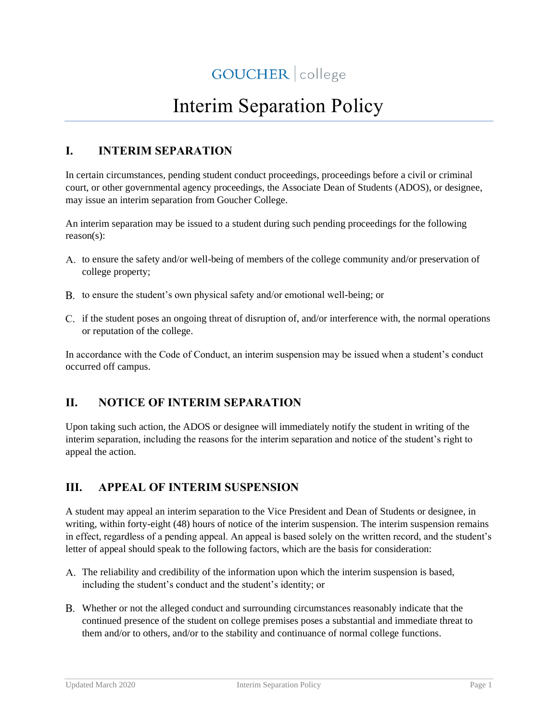# Interim Separation Policy

## **I. INTERIM SEPARATION**

In certain circumstances, pending student conduct proceedings, proceedings before a civil or criminal court, or other governmental agency proceedings, the Associate Dean of Students (ADOS), or designee, may issue an interim separation from Goucher College.

An interim separation may be issued to a student during such pending proceedings for the following reason(s):

- A. to ensure the safety and/or well-being of members of the college community and/or preservation of college property;
- B. to ensure the student's own physical safety and/or emotional well-being; or
- C. if the student poses an ongoing threat of disruption of, and/or interference with, the normal operations or reputation of the college.

In accordance with the Code of Conduct, an interim suspension may be issued when a student's conduct occurred off campus.

## **II. NOTICE OF INTERIM SEPARATION**

Upon taking such action, the ADOS or designee will immediately notify the student in writing of the interim separation, including the reasons for the interim separation and notice of the student's right to appeal the action.

### **III. APPEAL OF INTERIM SUSPENSION**

A student may appeal an interim separation to the Vice President and Dean of Students or designee, in writing, within forty-eight (48) hours of notice of the interim suspension. The interim suspension remains in effect, regardless of a pending appeal. An appeal is based solely on the written record, and the student's letter of appeal should speak to the following factors, which are the basis for consideration:

- The reliability and credibility of the information upon which the interim suspension is based, including the student's conduct and the student's identity; or
- Whether or not the alleged conduct and surrounding circumstances reasonably indicate that the continued presence of the student on college premises poses a substantial and immediate threat to them and/or to others, and/or to the stability and continuance of normal college functions.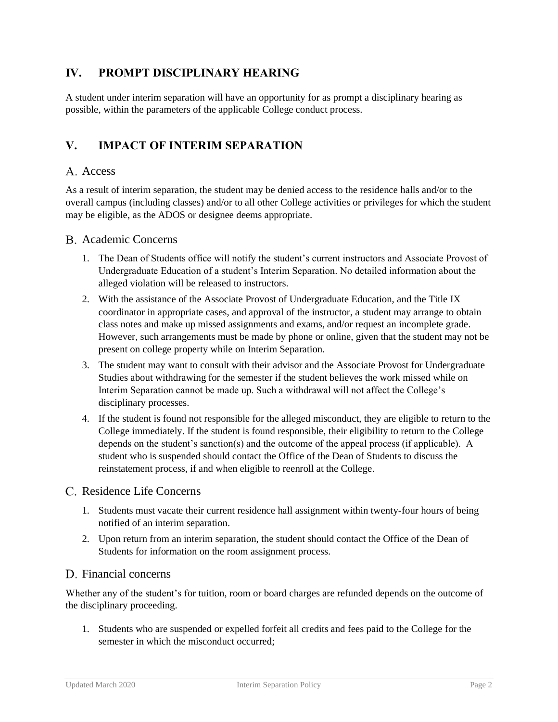## **IV. PROMPT DISCIPLINARY HEARING**

A student under interim separation will have an opportunity for as prompt a disciplinary hearing as possible, within the parameters of the applicable College conduct process.

## **V. IMPACT OF INTERIM SEPARATION**

#### A. Access

As a result of interim separation, the student may be denied access to the residence halls and/or to the overall campus (including classes) and/or to all other College activities or privileges for which the student may be eligible, as the ADOS or designee deems appropriate.

#### Academic Concerns

- 1. The Dean of Students office will notify the student's current instructors and Associate Provost of Undergraduate Education of a student's Interim Separation. No detailed information about the alleged violation will be released to instructors.
- 2. With the assistance of the Associate Provost of Undergraduate Education, and the Title IX coordinator in appropriate cases, and approval of the instructor, a student may arrange to obtain class notes and make up missed assignments and exams, and/or request an incomplete grade. However, such arrangements must be made by phone or online, given that the student may not be present on college property while on Interim Separation.
- 3. The student may want to consult with their advisor and the Associate Provost for Undergraduate Studies about withdrawing for the semester if the student believes the work missed while on Interim Separation cannot be made up. Such a withdrawal will not affect the College's disciplinary processes.
- 4. If the student is found not responsible for the alleged misconduct, they are eligible to return to the College immediately. If the student is found responsible, their eligibility to return to the College depends on the student's sanction(s) and the outcome of the appeal process (if applicable). A student who is suspended should contact the Office of the Dean of Students to discuss the reinstatement process, if and when eligible to reenroll at the College.

#### C. Residence Life Concerns

- 1. Students must vacate their current residence hall assignment within twenty-four hours of being notified of an interim separation.
- 2. Upon return from an interim separation, the student should contact the Office of the Dean of Students for information on the room assignment process.

#### D. Financial concerns

Whether any of the student's for tuition, room or board charges are refunded depends on the outcome of the disciplinary proceeding.

1. Students who are suspended or expelled forfeit all credits and fees paid to the College for the semester in which the misconduct occurred;